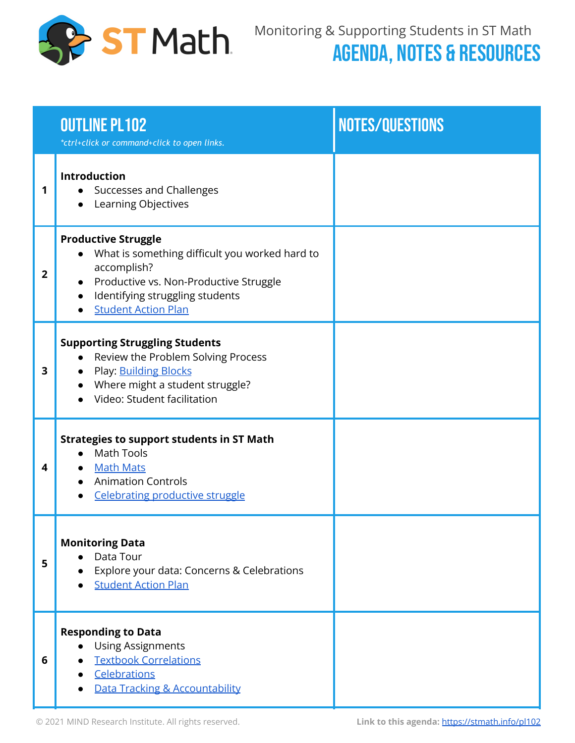

|   | <b>OUTLINE PL102</b><br>*ctrl+click or command+click to open links.                                                                                                                                                              | NOTES/QUESTIONS |
|---|----------------------------------------------------------------------------------------------------------------------------------------------------------------------------------------------------------------------------------|-----------------|
| 1 | Introduction<br>Successes and Challenges<br>$\bullet$<br>Learning Objectives                                                                                                                                                     |                 |
| 2 | <b>Productive Struggle</b><br>What is something difficult you worked hard to<br>accomplish?<br>Productive vs. Non-Productive Struggle<br>$\bullet$<br>Identifying struggling students<br>$\bullet$<br><b>Student Action Plan</b> |                 |
| 3 | <b>Supporting Struggling Students</b><br>Review the Problem Solving Process<br>Play: <b>Building Blocks</b><br>$\bullet$<br>Where might a student struggle?<br>Video: Student facilitation                                       |                 |
| 4 | <b>Strategies to support students in ST Math</b><br><b>Math Tools</b><br>$\bullet$<br>• Math Mats<br><b>Animation Controls</b><br><b>Celebrating productive struggle</b>                                                         |                 |
| 5 | <b>Monitoring Data</b><br>Data Tour<br>Explore your data: Concerns & Celebrations<br><b>Student Action Plan</b>                                                                                                                  |                 |
| 6 | <b>Responding to Data</b><br><b>Using Assignments</b><br>$\bullet$<br><b>Textbook Correlations</b><br>Celebrations<br>$\bullet$<br>Data Tracking & Accountability                                                                |                 |